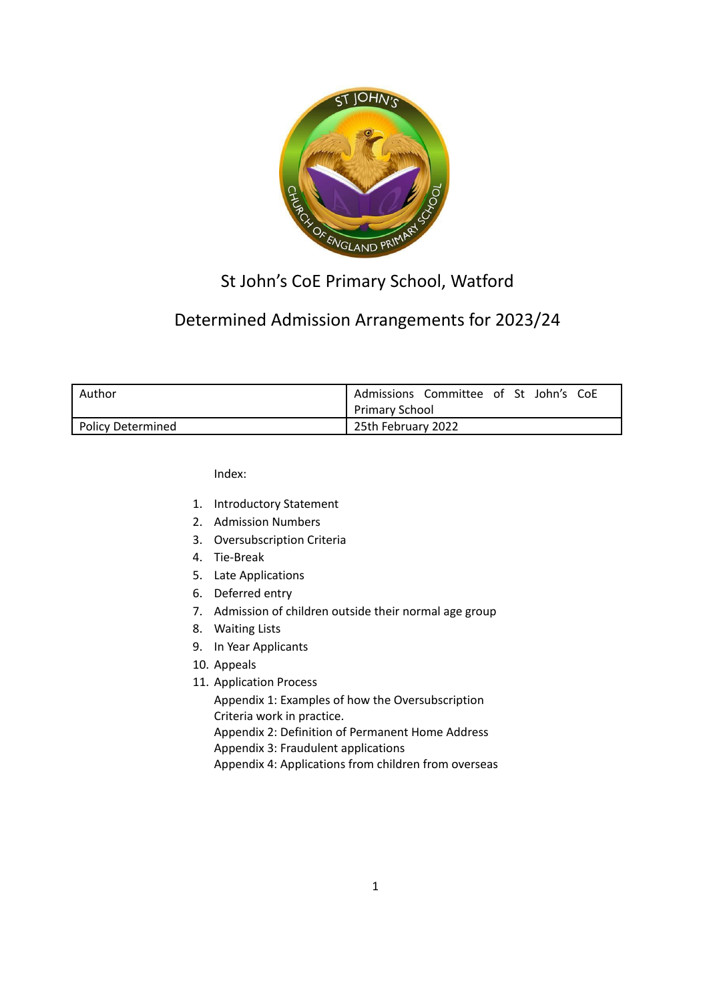

# St John's CoE Primary School, Watford

# Determined Admission Arrangements for 2023/24

| Author            | Admissions Committee of St John's CoE |
|-------------------|---------------------------------------|
|                   | <b>Primary School</b>                 |
| Policy Determined | 25th February 2022                    |

Index:

- 1. Introductory Statement
- 2. Admission Numbers
- 3. Oversubscription Criteria
- 4. Tie-Break
- 5. Late Applications
- 6. Deferred entry
- 7. Admission of children outside their normal age group
- 8. Waiting Lists
- 9. In Year Applicants
- 10. Appeals
- 11. Application Process

Appendix 1: Examples of how the Oversubscription Criteria work in practice.

Appendix 2: Definition of Permanent Home Address Appendix 3: Fraudulent applications

Appendix 4: Applications from children from overseas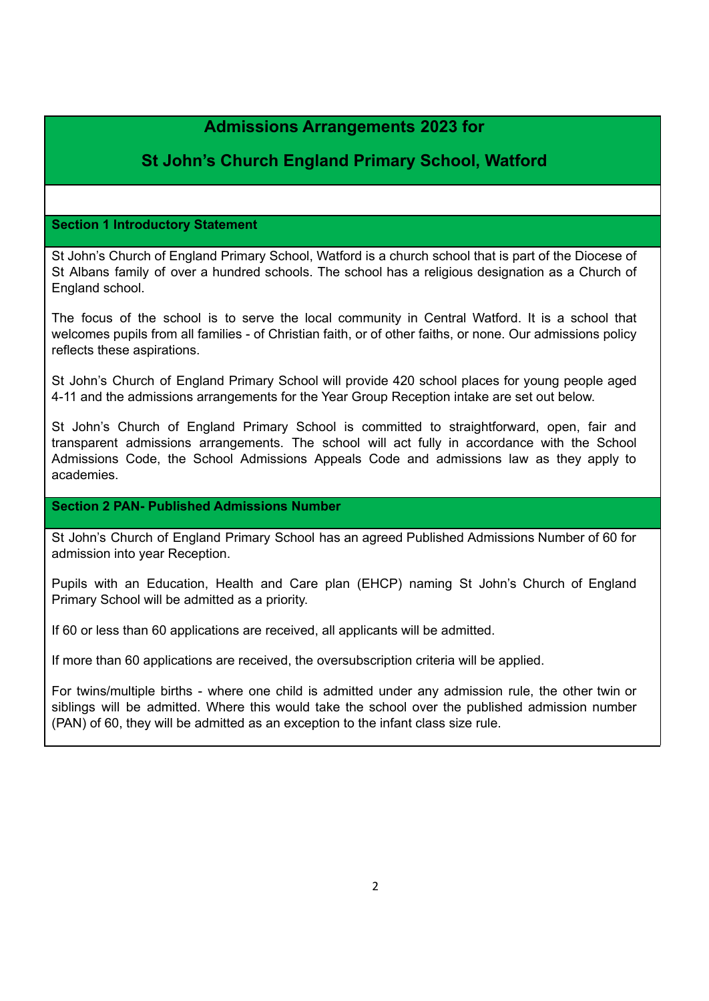# **Admissions Arrangements 2023 for**

# **St John's Church England Primary School, Watford**

# **Section 1 Introductory Statement**

St John's Church of England Primary School, Watford is a church school that is part of the Diocese of St Albans family of over a hundred schools. The school has a religious designation as a Church of England school.

The focus of the school is to serve the local community in Central Watford. It is a school that welcomes pupils from all families - of Christian faith, or of other faiths, or none. Our admissions policy reflects these aspirations.

St John's Church of England Primary School will provide 420 school places for young people aged 4-11 and the admissions arrangements for the Year Group Reception intake are set out below.

St John's Church of England Primary School is committed to straightforward, open, fair and transparent admissions arrangements. The school will act fully in accordance with the School Admissions Code, the School Admissions Appeals Code and admissions law as they apply to academies.

# **Section 2 PAN- Published Admissions Number**

St John's Church of England Primary School has an agreed Published Admissions Number of 60 for admission into year Reception.

Pupils with an Education, Health and Care plan (EHCP) naming St John's Church of England Primary School will be admitted as a priority.

If 60 or less than 60 applications are received, all applicants will be admitted.

If more than 60 applications are received, the oversubscription criteria will be applied.

For twins/multiple births - where one child is admitted under any admission rule, the other twin or siblings will be admitted. Where this would take the school over the published admission number (PAN) of 60, they will be admitted as an exception to the infant class size rule.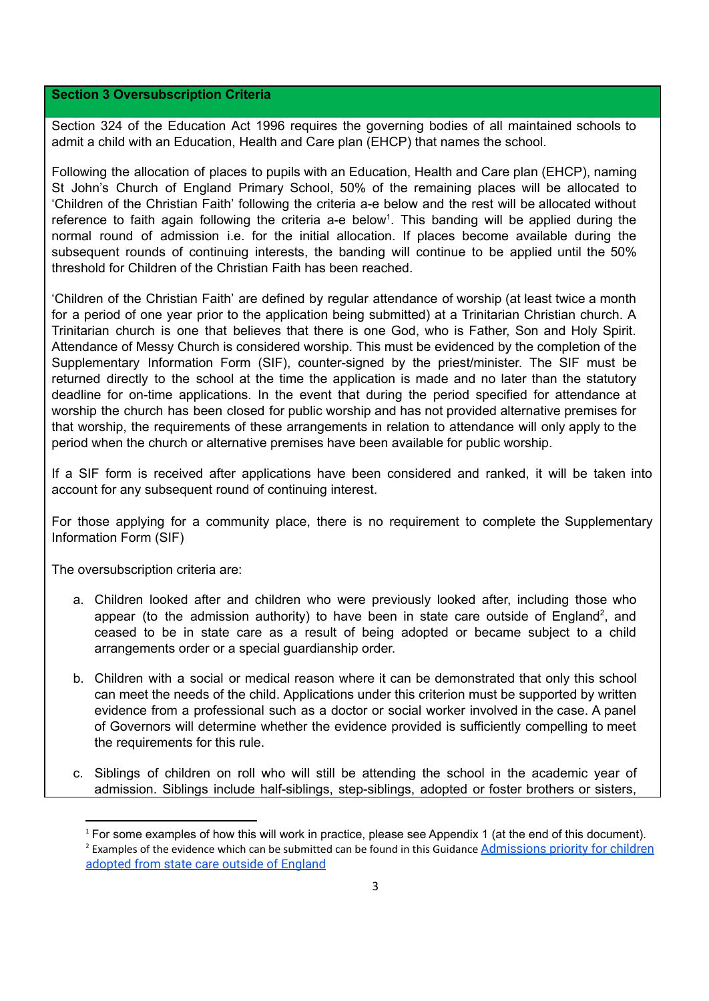#### **Section 3 Oversubscription Criteria**

Section 324 of the Education Act 1996 requires the governing bodies of all maintained schools to admit a child with an Education, Health and Care plan (EHCP) that names the school.

Following the allocation of places to pupils with an Education, Health and Care plan (EHCP), naming St John's Church of England Primary School, 50% of the remaining places will be allocated to 'Children of the Christian Faith' following the criteria a-e below and the rest will be allocated without reference to faith again following the criteria a-e below<sup>1</sup>. This banding will be applied during the normal round of admission i.e. for the initial allocation. If places become available during the subsequent rounds of continuing interests, the banding will continue to be applied until the 50% threshold for Children of the Christian Faith has been reached.

'Children of the Christian Faith' are defined by regular attendance of worship (at least twice a month for a period of one year prior to the application being submitted) at a Trinitarian Christian church. A Trinitarian church is one that believes that there is one God, who is Father, Son and Holy Spirit. Attendance of Messy Church is considered worship. This must be evidenced by the completion of the Supplementary Information Form (SIF), counter-signed by the priest/minister. The SIF must be returned directly to the school at the time the application is made and no later than the statutory deadline for on-time applications. In the event that during the period specified for attendance at worship the church has been closed for public worship and has not provided alternative premises for that worship, the requirements of these arrangements in relation to attendance will only apply to the period when the church or alternative premises have been available for public worship.

If a SIF form is received after applications have been considered and ranked, it will be taken into account for any subsequent round of continuing interest.

For those applying for a community place, there is no requirement to complete the Supplementary Information Form (SIF)

The oversubscription criteria are:

- a. Children looked after and children who were previously looked after, including those who appear (to the admission authority) to have been in state care outside of England<sup>2</sup>, and ceased to be in state care as a result of being adopted or became subject to a child arrangements order or a special guardianship order.
- b. Children with a social or medical reason where it can be demonstrated that only this school can meet the needs of the child. Applications under this criterion must be supported by written evidence from a professional such as a doctor or social worker involved in the case. A panel of Governors will determine whether the evidence provided is sufficiently compelling to meet the requirements for this rule.
- c. Siblings of children on roll who will still be attending the school in the academic year of admission. Siblings include half-siblings, step-siblings, adopted or foster brothers or sisters,

<sup>&</sup>lt;sup>2</sup> Examples of the evidence which can be submitted can be found in this Guidance [Admissions priority for](https://assets.publishing.service.gov.uk/government/uploads/system/uploads/attachment_data/file/1001066/Admissions_priority_for_children_adopted_from_state_care_outside_of_England.pdf) children [adopted from state care outside of England](https://assets.publishing.service.gov.uk/government/uploads/system/uploads/attachment_data/file/1001066/Admissions_priority_for_children_adopted_from_state_care_outside_of_England.pdf) <sup>1</sup> For some examples of how this will work in practice, please see Appendix 1 (at the end of this document).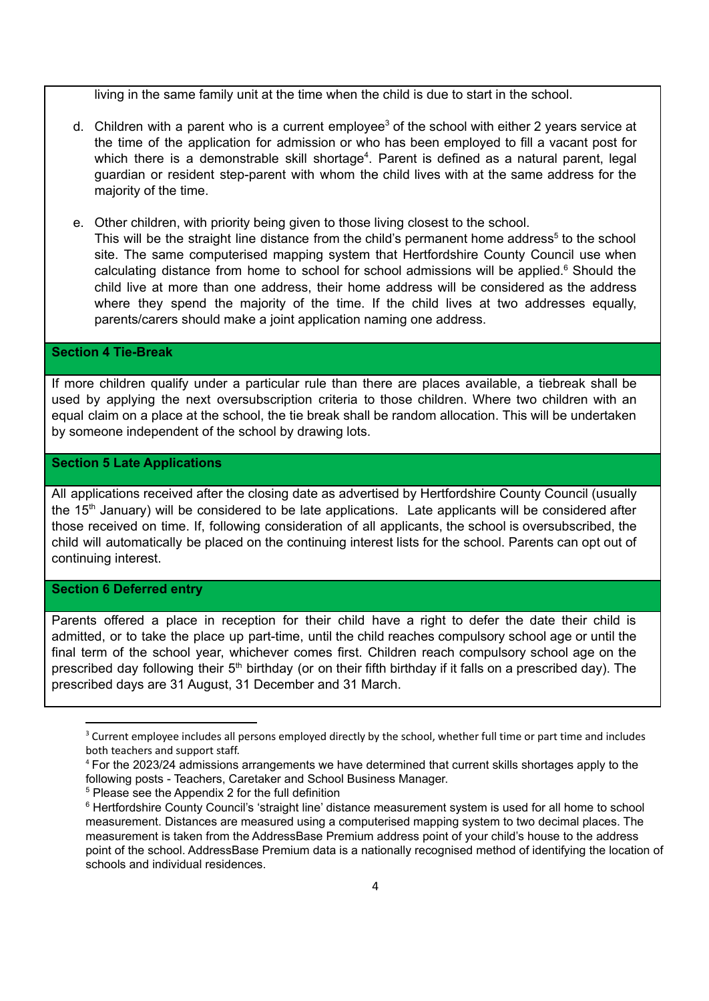living in the same family unit at the time when the child is due to start in the school.

- d. Children with a parent who is a current employee<sup>3</sup> of the school with either 2 years service at the time of the application for admission or who has been employed to fill a vacant post for which there is a demonstrable skill shortage<sup>4</sup>. Parent is defined as a natural parent, legal guardian or resident step-parent with whom the child lives with at the same address for the majority of the time.
- e. Other children, with priority being given to those living closest to the school. This will be the straight line distance from the child's permanent home address<sup>5</sup> to the school site. The same computerised mapping system that Hertfordshire County Council use when calculating distance from home to school for school admissions will be applied. $6$  Should the child live at more than one address, their home address will be considered as the address where they spend the majority of the time. If the child lives at two addresses equally, parents/carers should make a joint application naming one address.

### **Section 4 Tie-Break**

If more children qualify under a particular rule than there are places available, a tiebreak shall be used by applying the next oversubscription criteria to those children. Where two children with an equal claim on a place at the school, the tie break shall be random allocation. This will be undertaken by someone independent of the school by drawing lots.

### **Section 5 Late Applications**

All applications received after the closing date as advertised by Hertfordshire County Council (usually the 15<sup>th</sup> January) will be considered to be late applications. Late applicants will be considered after those received on time. If, following consideration of all applicants, the school is oversubscribed, the child will automatically be placed on the continuing interest lists for the school. Parents can opt out of continuing interest.

#### **Section 6 Deferred entry**

Parents offered a place in reception for their child have a right to defer the date their child is admitted, or to take the place up part-time, until the child reaches compulsory school age or until the final term of the school year, whichever comes first. Children reach compulsory school age on the prescribed day following their 5<sup>th</sup> birthday (or on their fifth birthday if it falls on a prescribed day). The prescribed days are 31 August, 31 December and 31 March.

<sup>5</sup> Please see the Appendix 2 for the full definition

<sup>&</sup>lt;sup>3</sup> Current employee includes all persons employed directly by the school, whether full time or part time and includes both teachers and support staff.

<sup>4</sup> For the 2023/24 admissions arrangements we have determined that current skills shortages apply to the following posts - Teachers, Caretaker and School Business Manager.

<sup>&</sup>lt;sup>6</sup> Hertfordshire County Council's 'straight line' distance measurement system is used for all home to school measurement. Distances are measured using a computerised mapping system to two decimal places. The measurement is taken from the AddressBase Premium address point of your child's house to the address point of the school. AddressBase Premium data is a nationally recognised method of identifying the location of schools and individual residences.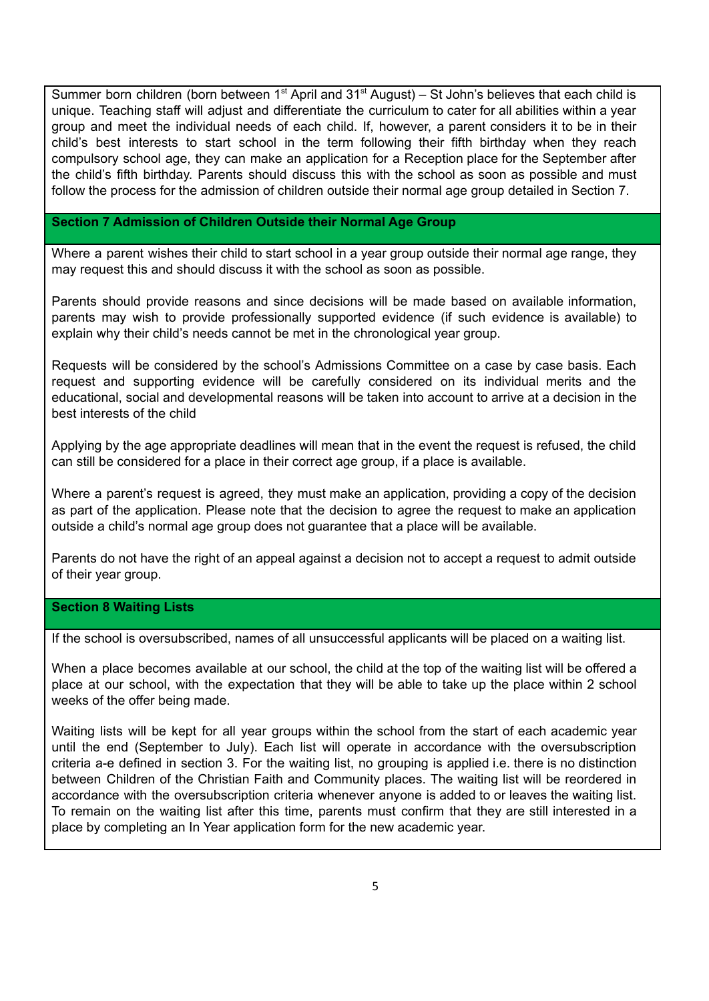Summer born children (born between  $1<sup>st</sup>$  April and  $31<sup>st</sup>$  August) – St John's believes that each child is unique. Teaching staff will adjust and differentiate the curriculum to cater for all abilities within a year group and meet the individual needs of each child. If, however, a parent considers it to be in their child's best interests to start school in the term following their fifth birthday when they reach compulsory school age, they can make an application for a Reception place for the September after the child's fifth birthday. Parents should discuss this with the school as soon as possible and must follow the process for the admission of children outside their normal age group detailed in Section 7.

#### **Section 7 Admission of Children Outside their Normal Age Group**

Where a parent wishes their child to start school in a year group outside their normal age range, they may request this and should discuss it with the school as soon as possible.

Parents should provide reasons and since decisions will be made based on available information, parents may wish to provide professionally supported evidence (if such evidence is available) to explain why their child's needs cannot be met in the chronological year group.

Requests will be considered by the school's Admissions Committee on a case by case basis. Each request and supporting evidence will be carefully considered on its individual merits and the educational, social and developmental reasons will be taken into account to arrive at a decision in the best interests of the child

Applying by the age appropriate deadlines will mean that in the event the request is refused, the child can still be considered for a place in their correct age group, if a place is available.

Where a parent's request is agreed, they must make an application, providing a copy of the decision as part of the application. Please note that the decision to agree the request to make an application outside a child's normal age group does not guarantee that a place will be available.

Parents do not have the right of an appeal against a decision not to accept a request to admit outside of their year group.

#### **Section 8 Waiting Lists**

If the school is oversubscribed, names of all unsuccessful applicants will be placed on a waiting list.

When a place becomes available at our school, the child at the top of the waiting list will be offered a place at our school, with the expectation that they will be able to take up the place within 2 school weeks of the offer being made.

Waiting lists will be kept for all year groups within the school from the start of each academic year until the end (September to July). Each list will operate in accordance with the oversubscription criteria a-e defined in section 3. For the waiting list, no grouping is applied i.e. there is no distinction between Children of the Christian Faith and Community places. The waiting list will be reordered in accordance with the oversubscription criteria whenever anyone is added to or leaves the waiting list. To remain on the waiting list after this time, parents must confirm that they are still interested in a place by completing an In Year application form for the new academic year.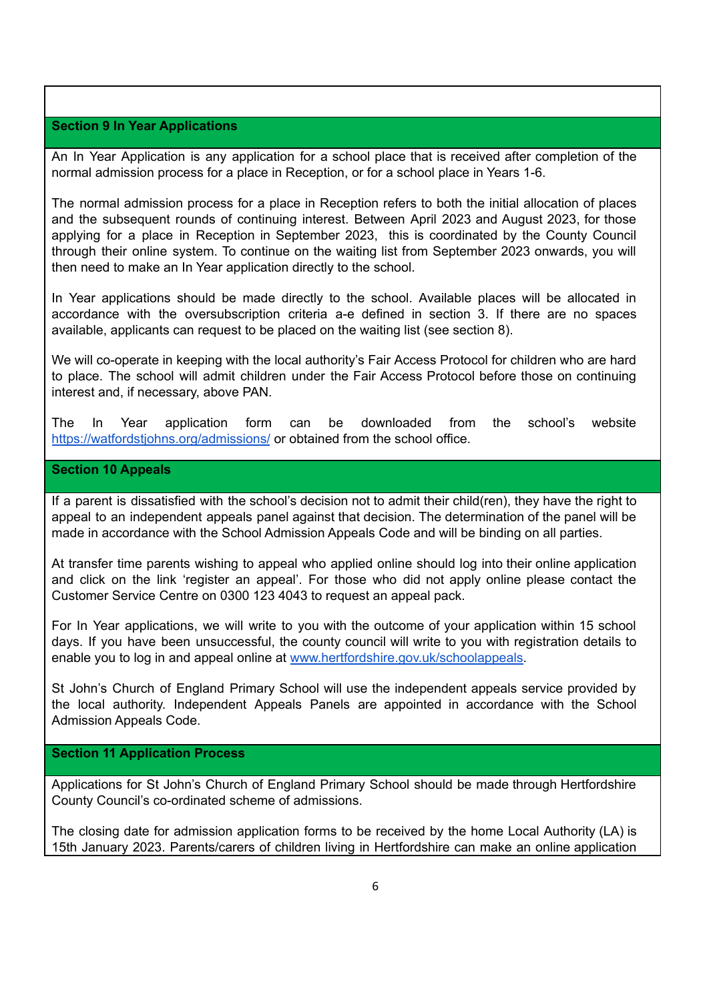#### **Section 9 In Year Applications**

An In Year Application is any application for a school place that is received after completion of the normal admission process for a place in Reception, or for a school place in Years 1-6.

The normal admission process for a place in Reception refers to both the initial allocation of places and the subsequent rounds of continuing interest. Between April 2023 and August 2023, for those applying for a place in Reception in September 2023, this is coordinated by the County Council through their online system. To continue on the waiting list from September 2023 onwards, you will then need to make an In Year application directly to the school.

In Year applications should be made directly to the school. Available places will be allocated in accordance with the oversubscription criteria a-e defined in section 3. If there are no spaces available, applicants can request to be placed on the waiting list (see section 8).

We will co-operate in keeping with the local authority's Fair Access Protocol for children who are hard to place. The school will admit children under the Fair Access Protocol before those on continuing interest and, if necessary, above PAN.

The In Year application form can be downloaded from the school's website <https://watfordstjohns.org/admissions/> or obtained from the school office.

#### **Section 10 Appeals**

If a parent is dissatisfied with the school's decision not to admit their child(ren), they have the right to appeal to an independent appeals panel against that decision. The determination of the panel will be made in accordance with the School Admission Appeals Code and will be binding on all parties.

At transfer time parents wishing to appeal who applied online should log into their online application and click on the link 'register an appeal'. For those who did not apply online please contact the Customer Service Centre on 0300 123 4043 to request an appeal pack.

For In Year applications, we will write to you with the outcome of your application within 15 school days. If you have been unsuccessful, the county council will write to you with registration details to enable you to log in and appeal online at [www.hertfordshire.gov.uk/schoolappeals.](http://www.hertfordshire.gov.uk/schoolappeals)

St John's Church of England Primary School will use the independent appeals service provided by the local authority. Independent Appeals Panels are appointed in accordance with the School Admission Appeals Code.

#### **Section 11 Application Process**

Applications for St John's Church of England Primary School should be made through Hertfordshire County Council's co-ordinated scheme of admissions.

The closing date for admission application forms to be received by the home Local Authority (LA) is 15th January 2023. Parents/carers of children living in Hertfordshire can make an online application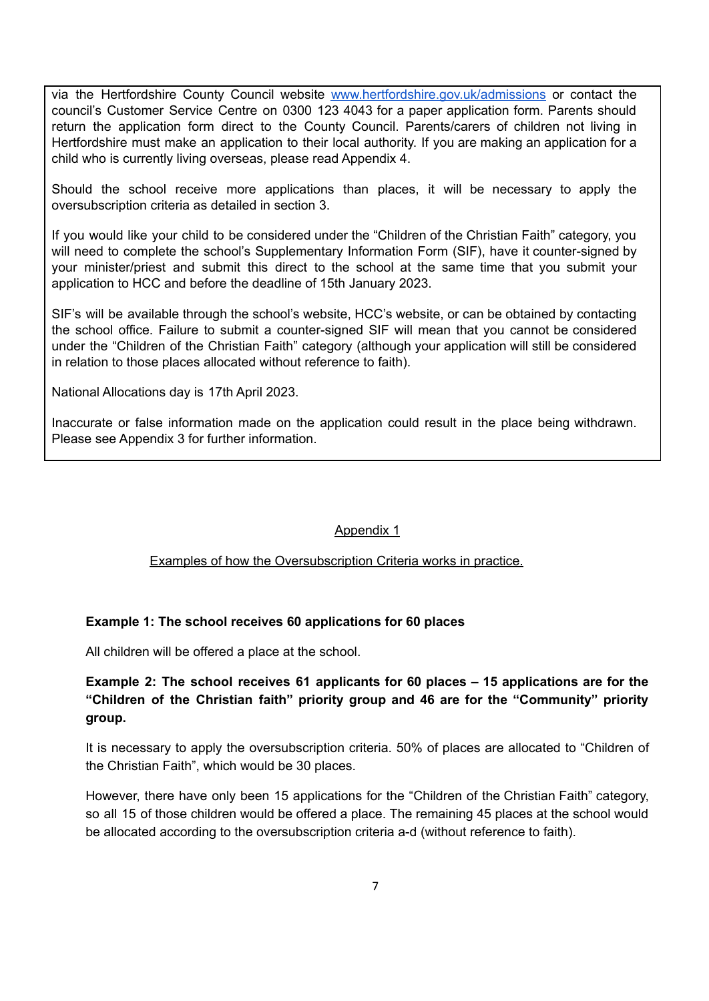via the Hertfordshire County Council website [www.hertfordshire.gov.uk/admissions](http://www.hertfordshire.gov.uk/admissions) or contact the council's Customer Service Centre on 0300 123 4043 for a paper application form. Parents should return the application form direct to the County Council. Parents/carers of children not living in Hertfordshire must make an application to their local authority. If you are making an application for a child who is currently living overseas, please read Appendix 4.

Should the school receive more applications than places, it will be necessary to apply the oversubscription criteria as detailed in section 3.

If you would like your child to be considered under the "Children of the Christian Faith" category, you will need to complete the school's Supplementary Information Form (SIF), have it counter-signed by your minister/priest and submit this direct to the school at the same time that you submit your application to HCC and before the deadline of 15th January 2023.

SIF's will be available through the school's website, HCC's website, or can be obtained by contacting the school office. Failure to submit a counter-signed SIF will mean that you cannot be considered under the "Children of the Christian Faith" category (although your application will still be considered in relation to those places allocated without reference to faith).

National Allocations day is 17th April 2023.

Inaccurate or false information made on the application could result in the place being withdrawn. Please see Appendix 3 for further information.

#### Appendix 1

#### Examples of how the Oversubscription Criteria works in practice.

#### **Example 1: The school receives 60 applications for 60 places**

All children will be offered a place at the school.

# **Example 2: The school receives 61 applicants for 60 places – 15 applications are for the "Children of the Christian faith" priority group and 46 are for the "Community" priority group.**

It is necessary to apply the oversubscription criteria. 50% of places are allocated to "Children of the Christian Faith", which would be 30 places.

However, there have only been 15 applications for the "Children of the Christian Faith" category, so all 15 of those children would be offered a place. The remaining 45 places at the school would be allocated according to the oversubscription criteria a-d (without reference to faith).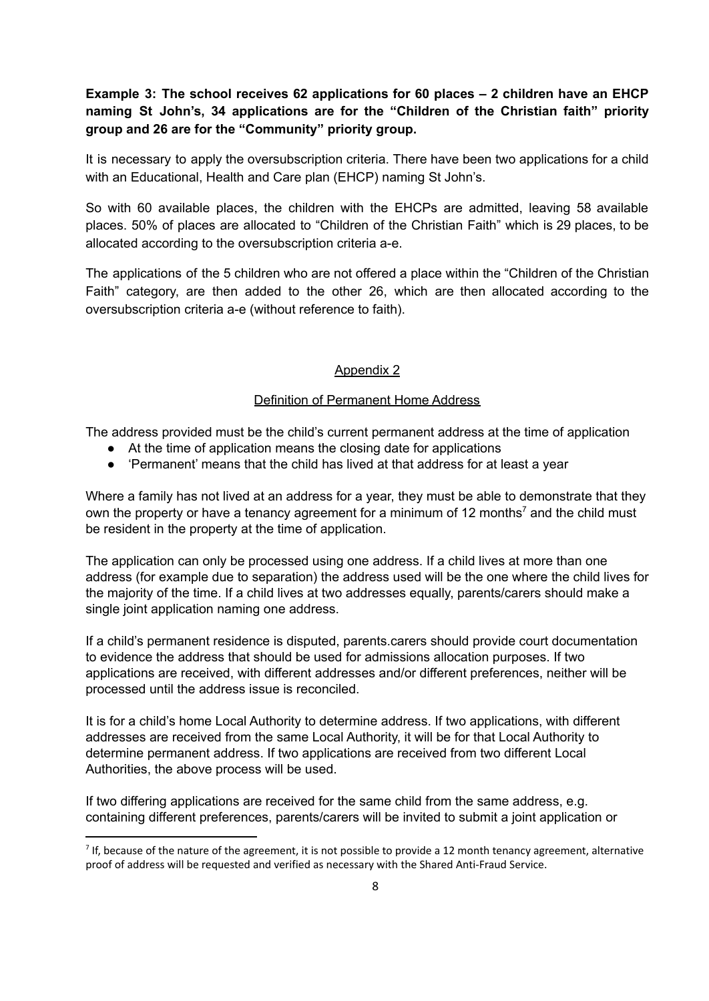# **Example 3: The school receives 62 applications for 60 places – 2 children have an EHCP naming St John's, 34 applications are for the "Children of the Christian faith" priority group and 26 are for the "Community" priority group.**

It is necessary to apply the oversubscription criteria. There have been two applications for a child with an Educational, Health and Care plan (EHCP) naming St John's.

So with 60 available places, the children with the EHCPs are admitted, leaving 58 available places. 50% of places are allocated to "Children of the Christian Faith" which is 29 places, to be allocated according to the oversubscription criteria a-e.

The applications of the 5 children who are not offered a place within the "Children of the Christian Faith" category, are then added to the other 26, which are then allocated according to the oversubscription criteria a-e (without reference to faith).

#### Appendix 2

#### Definition of Permanent Home Address

The address provided must be the child's current permanent address at the time of application

- At the time of application means the closing date for applications
- 'Permanent' means that the child has lived at that address for at least a year

Where a family has not lived at an address for a year, they must be able to demonstrate that they own the property or have a tenancy agreement for a minimum of 12 months<sup>7</sup> and the child must be resident in the property at the time of application.

The application can only be processed using one address. If a child lives at more than one address (for example due to separation) the address used will be the one where the child lives for the majority of the time. If a child lives at two addresses equally, parents/carers should make a single joint application naming one address.

If a child's permanent residence is disputed, parents.carers should provide court documentation to evidence the address that should be used for admissions allocation purposes. If two applications are received, with different addresses and/or different preferences, neither will be processed until the address issue is reconciled.

It is for a child's home Local Authority to determine address. If two applications, with different addresses are received from the same Local Authority, it will be for that Local Authority to determine permanent address. If two applications are received from two different Local Authorities, the above process will be used.

If two differing applications are received for the same child from the same address, e.g. containing different preferences, parents/carers will be invited to submit a joint application or

 $7$  If, because of the nature of the agreement, it is not possible to provide a 12 month tenancy agreement, alternative proof of address will be requested and verified as necessary with the Shared Anti-Fraud Service.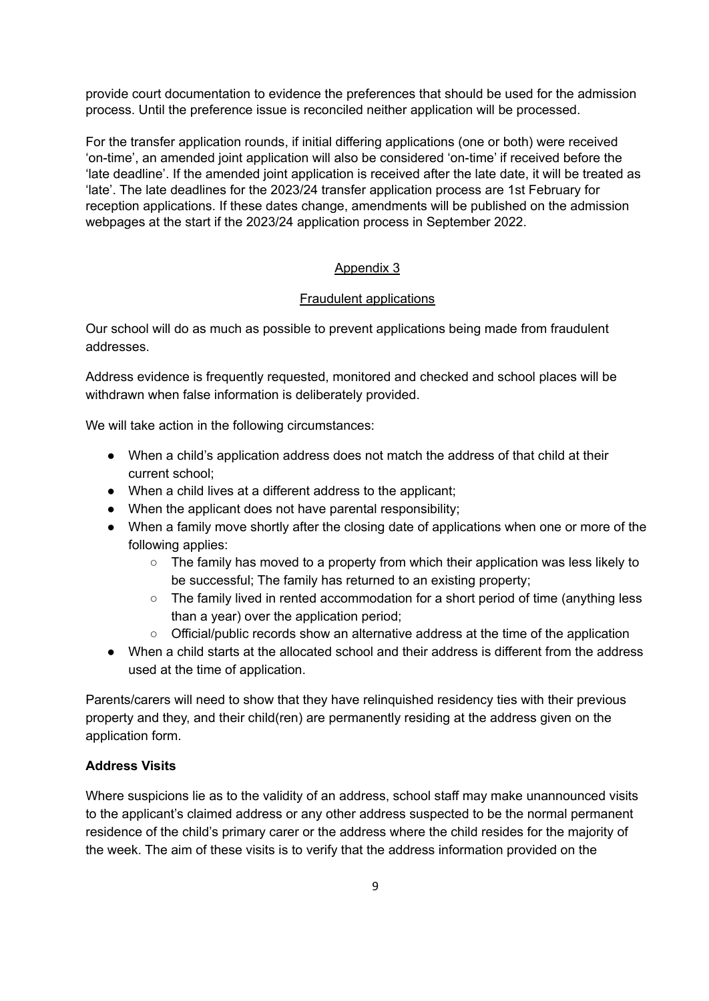provide court documentation to evidence the preferences that should be used for the admission process. Until the preference issue is reconciled neither application will be processed.

For the transfer application rounds, if initial differing applications (one or both) were received 'on-time', an amended joint application will also be considered 'on-time' if received before the 'late deadline'. If the amended joint application is received after the late date, it will be treated as 'late'. The late deadlines for the 2023/24 transfer application process are 1st February for reception applications. If these dates change, amendments will be published on the admission webpages at the start if the 2023/24 application process in September 2022.

#### Appendix 3

#### Fraudulent applications

Our school will do as much as possible to prevent applications being made from fraudulent addresses.

Address evidence is frequently requested, monitored and checked and school places will be withdrawn when false information is deliberately provided.

We will take action in the following circumstances:

- When a child's application address does not match the address of that child at their current school;
- When a child lives at a different address to the applicant;
- When the applicant does not have parental responsibility;
- When a family move shortly after the closing date of applications when one or more of the following applies:
	- $\circ$  The family has moved to a property from which their application was less likely to be successful; The family has returned to an existing property;
	- The family lived in rented accommodation for a short period of time (anything less than a year) over the application period;
	- Official/public records show an alternative address at the time of the application
- When a child starts at the allocated school and their address is different from the address used at the time of application.

Parents/carers will need to show that they have relinquished residency ties with their previous property and they, and their child(ren) are permanently residing at the address given on the application form.

### **Address Visits**

Where suspicions lie as to the validity of an address, school staff may make unannounced visits to the applicant's claimed address or any other address suspected to be the normal permanent residence of the child's primary carer or the address where the child resides for the majority of the week. The aim of these visits is to verify that the address information provided on the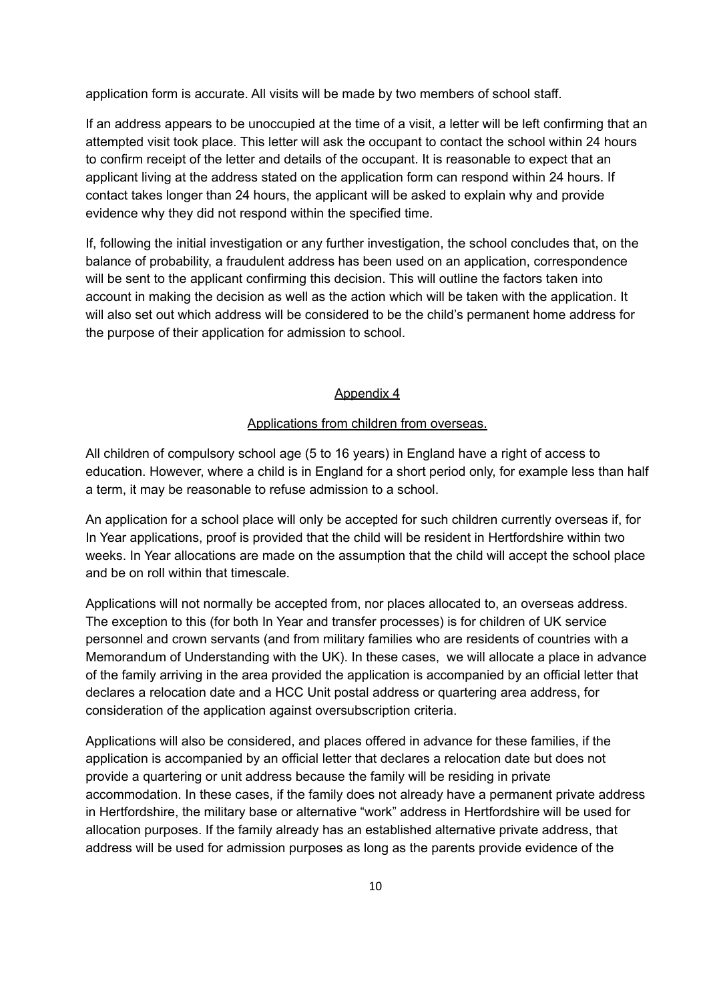application form is accurate. All visits will be made by two members of school staff.

If an address appears to be unoccupied at the time of a visit, a letter will be left confirming that an attempted visit took place. This letter will ask the occupant to contact the school within 24 hours to confirm receipt of the letter and details of the occupant. It is reasonable to expect that an applicant living at the address stated on the application form can respond within 24 hours. If contact takes longer than 24 hours, the applicant will be asked to explain why and provide evidence why they did not respond within the specified time.

If, following the initial investigation or any further investigation, the school concludes that, on the balance of probability, a fraudulent address has been used on an application, correspondence will be sent to the applicant confirming this decision. This will outline the factors taken into account in making the decision as well as the action which will be taken with the application. It will also set out which address will be considered to be the child's permanent home address for the purpose of their application for admission to school.

#### Appendix 4

#### Applications from children from overseas.

All children of compulsory school age (5 to 16 years) in England have a right of access to education. However, where a child is in England for a short period only, for example less than half a term, it may be reasonable to refuse admission to a school.

An application for a school place will only be accepted for such children currently overseas if, for In Year applications, proof is provided that the child will be resident in Hertfordshire within two weeks. In Year allocations are made on the assumption that the child will accept the school place and be on roll within that timescale.

Applications will not normally be accepted from, nor places allocated to, an overseas address. The exception to this (for both In Year and transfer processes) is for children of UK service personnel and crown servants (and from military families who are residents of countries with a Memorandum of Understanding with the UK). In these cases, we will allocate a place in advance of the family arriving in the area provided the application is accompanied by an official letter that declares a relocation date and a HCC Unit postal address or quartering area address, for consideration of the application against oversubscription criteria.

Applications will also be considered, and places offered in advance for these families, if the application is accompanied by an official letter that declares a relocation date but does not provide a quartering or unit address because the family will be residing in private accommodation. In these cases, if the family does not already have a permanent private address in Hertfordshire, the military base or alternative "work" address in Hertfordshire will be used for allocation purposes. If the family already has an established alternative private address, that address will be used for admission purposes as long as the parents provide evidence of the